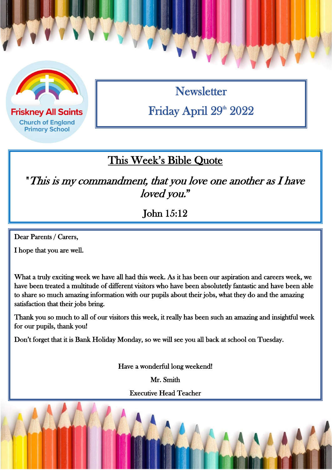

**Friskney All Saints Church of England Primary School** 

**Newsletter** Friday April 29<sup>th</sup> 2022

### This Week's Bible Quote

"This is my commandment, that you love one another as I have loved you."

John 15:12

Dear Parents / Carers,

I hope that you are well.

What a truly exciting week we have all had this week. As it has been our aspiration and careers week, we have been treated a multitude of different visitors who have been absolutetly fantastic and have been able to share so much amazing information with our pupils about their jobs, what they do and the amazing satisfaction that their jobs bring.

Thank you so much to all of our visitors this week, it really has been such an amazing and insightful week for our pupils, thank you!

Don't forget that it is Bank Holiday Monday, so we will see you all back at school on Tuesday.

Have a wonderful long weekend!

Mr. Smith

Executive Head Teacher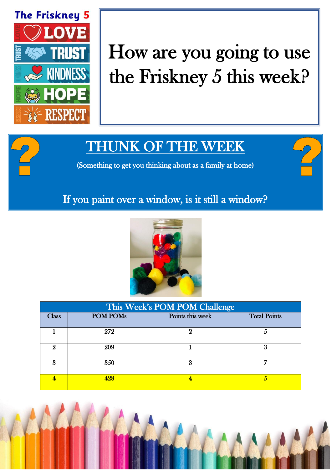

# How are you going to use the Friskney 5 this week?

## THUNK OF THE WEEK

(Something to get you thinking about as a family at home)

#### If you paint over a window, is it still a window?



| This Week's POM POM Challenge |                 |                  |                     |  |
|-------------------------------|-----------------|------------------|---------------------|--|
| <b>Class</b>                  | <b>POM POMs</b> | Points this week | <b>Total Points</b> |  |
|                               | 272             |                  | Ő                   |  |
|                               | 209             |                  | 3                   |  |
| я                             | 350             | 3                | -                   |  |
|                               | 428             |                  | h                   |  |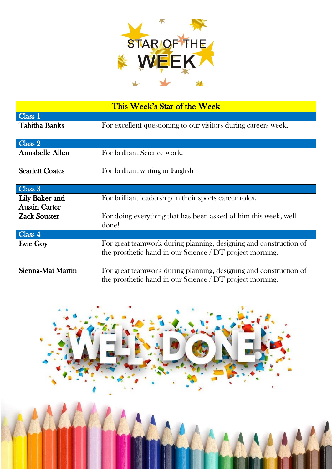

| This Week's Star of the Week                  |                                                                                                                                 |  |  |  |
|-----------------------------------------------|---------------------------------------------------------------------------------------------------------------------------------|--|--|--|
| Class <sub>1</sub>                            |                                                                                                                                 |  |  |  |
| <b>Tabitha Banks</b>                          | For excellent questioning to our visitors during careers week.                                                                  |  |  |  |
| Class 2                                       |                                                                                                                                 |  |  |  |
| <b>Annabelle Allen</b>                        | For brilliant Science work.                                                                                                     |  |  |  |
| <b>Scarlett Coates</b>                        | For brilliant writing in English                                                                                                |  |  |  |
| Class 3                                       |                                                                                                                                 |  |  |  |
| <b>Lily Baker and</b><br><b>Austin Carter</b> | For brilliant leadership in their sports career roles.                                                                          |  |  |  |
| <b>Zack Souster</b>                           | For doing everything that has been asked of him this week, well<br>done!                                                        |  |  |  |
| Class 4                                       |                                                                                                                                 |  |  |  |
| <b>Evie Goy</b>                               | For great teamwork during planning, designing and construction of<br>the prosthetic hand in our Science $/$ DT project morning. |  |  |  |
| Sienna-Mai Martin                             | For great teamwork during planning, designing and construction of<br>the prosthetic hand in our Science $/$ DT project morning. |  |  |  |

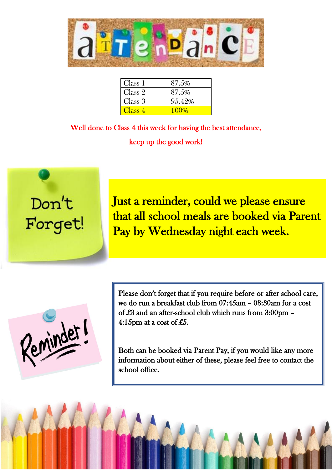

| Class 1 | 87.5%  |
|---------|--------|
| Class 2 | 87.5%  |
| Class 3 | 95.42% |
| Class 4 | 100%   |

Well done to Class 4 this week for having the best attendance, keep up the good work!

 $\overline{a}$ 



Just a reminder, could we please ensure that all school meals are booked via Parent Pay by Wednesday night each week.

Reminder

Please don't forget that if you require before or after school care, we do run a breakfast club from 07:45am – 08:30am for a cost of £3 and an after-school club which runs from 3:00pm – 4:15pm at a cost of £5.

Both can be booked via Parent Pay, if you would like any more information about either of these, please feel free to contact the school office.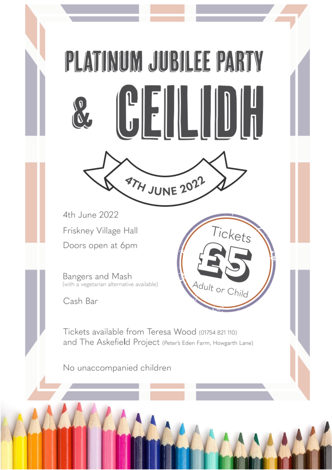# PLATINUM JUBILEE PARTY



Tickets

Adult or Child

4th June 2022 Friskney Village Hall Doors open at 6pm

Bangers and Mash<br>(with a vegetarian alternative available)

Cash Bar

Tickets available from Teresa Wood (01754 821 110) and The Askefield Project (Peter's Eden Farm, Howgarth Lane)

No unaccompanied children